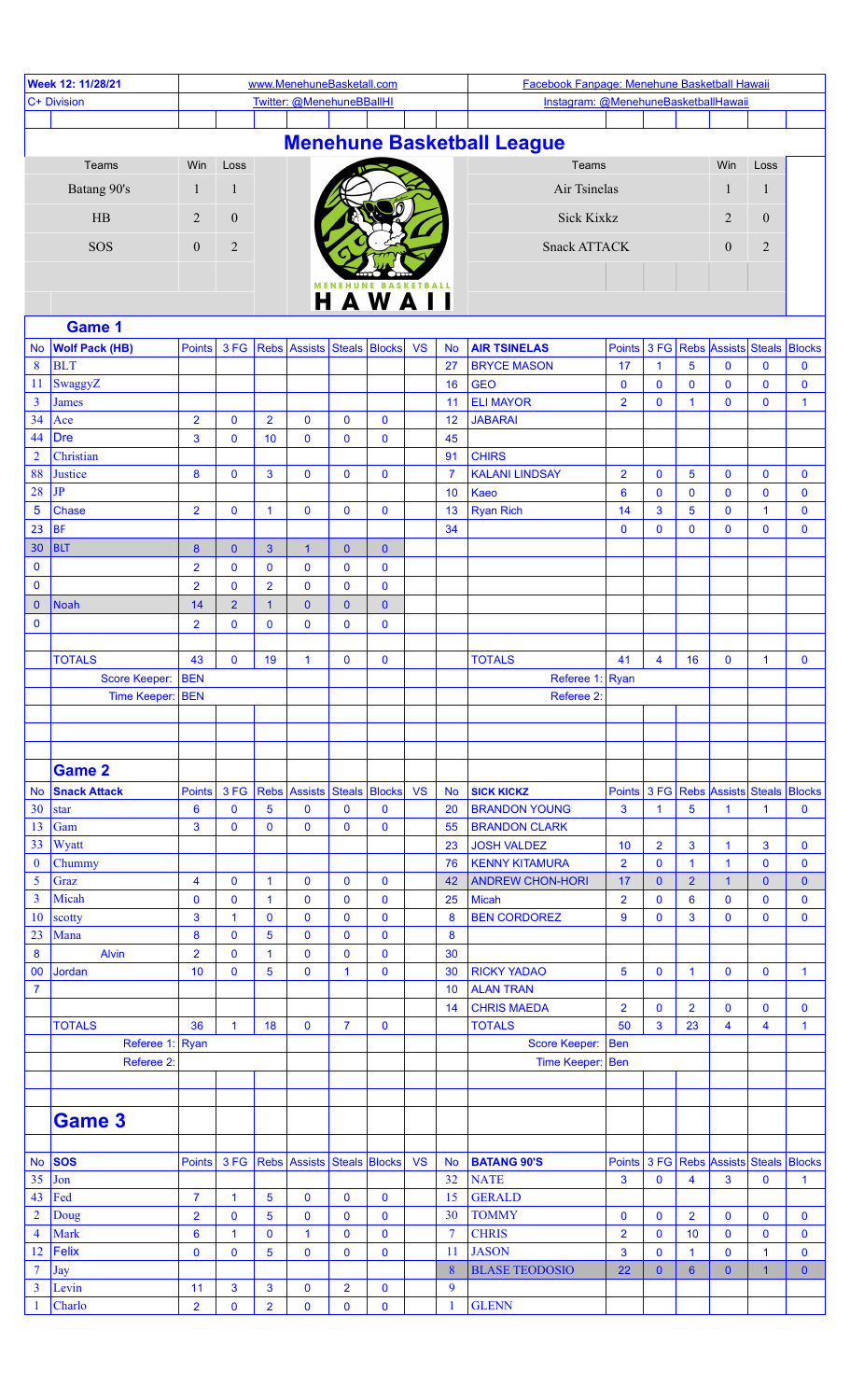| Week 12: 11/28/21       |                                     |                                 |                             |                      | www.MenehuneBasketall.com       |                          |                        |           |                  | Facebook Fanpage: Menehune Basketball Hawaii |                         |                  |                 |                                                        |                            |                            |
|-------------------------|-------------------------------------|---------------------------------|-----------------------------|----------------------|---------------------------------|--------------------------|------------------------|-----------|------------------|----------------------------------------------|-------------------------|------------------|-----------------|--------------------------------------------------------|----------------------------|----------------------------|
| C+ Division             |                                     |                                 |                             |                      | Twitter: @MenehuneBBallHI       |                          |                        |           |                  | Instagram: @MenehuneBasketballHawaii         |                         |                  |                 |                                                        |                            |                            |
|                         |                                     |                                 |                             |                      |                                 |                          |                        |           |                  |                                              |                         |                  |                 |                                                        |                            |                            |
|                         |                                     |                                 |                             |                      |                                 |                          |                        |           |                  | <b>Menehune Basketball League</b>            |                         |                  |                 |                                                        |                            |                            |
|                         | Teams                               | Win                             | Loss                        |                      |                                 |                          |                        |           |                  | Teams                                        |                         |                  |                 | Win                                                    | Loss                       |                            |
| Batang 90's             |                                     | 1                               | $\mathbf{1}$                |                      |                                 |                          |                        |           |                  | Air Tsinelas                                 |                         |                  |                 | 1                                                      | $\mathbf{1}$               |                            |
| HB                      |                                     | $\overline{2}$                  | $\mathbf{0}$                |                      |                                 |                          |                        |           |                  | <b>Sick Kixkz</b>                            |                         |                  |                 | 2                                                      | $\overline{0}$             |                            |
|                         | SOS                                 | $\mathbf{0}$                    | $\overline{2}$              |                      |                                 |                          |                        |           |                  | <b>Snack ATTACK</b>                          |                         |                  |                 | $\mathbf{0}$                                           | $\overline{2}$             |                            |
|                         |                                     |                                 |                             |                      |                                 |                          |                        |           |                  |                                              |                         |                  |                 |                                                        |                            |                            |
|                         |                                     |                                 |                             |                      |                                 |                          | HAWAII                 |           |                  |                                              |                         |                  |                 |                                                        |                            |                            |
|                         |                                     |                                 |                             |                      |                                 |                          |                        |           |                  |                                              |                         |                  |                 |                                                        |                            |                            |
|                         | Game 1                              |                                 |                             |                      |                                 |                          |                        |           |                  |                                              |                         |                  |                 |                                                        |                            |                            |
| <b>No</b><br>8          | <b>Wolf Pack (HB)</b><br><b>BLT</b> | <b>Points</b>                   | 3 FG                        |                      | Rebs Assists Steals Blocks      |                          |                        | <b>VS</b> | <b>No</b><br>27  | <b>AIR TSINELAS</b><br><b>BRYCE MASON</b>    | 17                      | $\mathbf{1}$     | 5               | Points 3 FG Rebs Assists Steals Blocks<br>$\mathbf{0}$ | $\mathbf 0$                | $\mathbf 0$                |
| 11                      | SwaggyZ                             |                                 |                             |                      |                                 |                          |                        |           | 16               | <b>GEO</b>                                   | $\mathbf 0$             | $\mathbf 0$      | 0               | $\mathbf 0$                                            | $\mathbf 0$                | $\mathbf 0$                |
| $\overline{3}$          | <b>James</b>                        |                                 |                             |                      |                                 |                          |                        |           | 11               | <b>ELI MAYOR</b>                             | $\overline{2}$          | $\mathbf 0$      | $\mathbf{1}$    | $\mathbf{0}$                                           | $\mathbf{0}$               | $\mathbf{1}$               |
| 34                      | Ace                                 | $\overline{2}$                  | $\mathbf 0$                 | $\overline{2}$       | $\mathbf 0$                     | $\mathbf 0$              | $\mathbf 0$            |           | 12               | <b>JABARAI</b>                               |                         |                  |                 |                                                        |                            |                            |
| 44                      | <b>Dre</b>                          | 3                               | $\mathbf 0$                 | 10                   | $\mathbf 0$                     | $\bf{0}$                 | $\mathbf 0$            |           | 45               |                                              |                         |                  |                 |                                                        |                            |                            |
| $\overline{2}$          | Christian                           |                                 |                             |                      |                                 |                          |                        |           | 91               | <b>CHIRS</b>                                 |                         |                  |                 |                                                        |                            |                            |
| 88<br>28                | <b>Justice</b><br>JP                | 8                               | $\mathbf 0$                 | 3                    | $\mathbf 0$                     | $\mathbf 0$              | $\mathbf 0$            |           | $\overline{7}$   | <b>KALANI LINDSAY</b><br>Kaeo                | $\overline{2}$          | $\mathbf 0$      | 5               | $\mathbf 0$                                            | $\mathbf 0$<br>$\mathbf 0$ | $\mathbf 0$                |
| 5                       | <b>Chase</b>                        | $\overline{2}$                  | $\mathbf 0$                 | $\mathbf{1}$         | $\mathbf 0$                     | $\mathbf 0$              | $\mathbf 0$            |           | 10<br>13         | <b>Ryan Rich</b>                             | $6\phantom{a}$<br>14    | $\mathbf 0$<br>3 | 0<br>5          | $\mathbf{0}$<br>$\mathbf 0$                            | $\mathbf{1}$               | $\mathbf 0$<br>$\mathbf 0$ |
| 23                      | <b>BF</b>                           |                                 |                             |                      |                                 |                          |                        |           | 34               |                                              | $\mathbf 0$             | $\mathbf{0}$     | $\mathbf{0}$    | $\mathbf 0$                                            | $\mathbf 0$                | $\mathbf 0$                |
| 30                      | <b>BLT</b>                          | 8                               | $\mathbf{0}$                | 3                    | $\mathbf{1}$                    | $\mathbf{0}$             | $\mathbf{0}$           |           |                  |                                              |                         |                  |                 |                                                        |                            |                            |
| $\bf{0}$                |                                     | $\overline{2}$                  | $\mathbf 0$                 | $\mathbf 0$          | $\mathbf 0$                     | $\bf{0}$                 | 0                      |           |                  |                                              |                         |                  |                 |                                                        |                            |                            |
| $\mathbf 0$             |                                     | $\overline{2}$                  | $\mathbf 0$                 | $\overline{2}$       | $\mathbf 0$                     | $\bf{0}$                 | $\mathbf 0$            |           |                  |                                              |                         |                  |                 |                                                        |                            |                            |
| $\mathbf{0}$            | <b>Noah</b>                         | 14                              | $\overline{2}$              | $\mathbf 1$          | $\mathbf{0}$                    | $\mathbf{0}$             | $\mathbf 0$            |           |                  |                                              |                         |                  |                 |                                                        |                            |                            |
| $\bf{0}$                |                                     | $\overline{2}$                  | $\mathbf 0$                 | $\mathbf 0$          | $\mathbf{0}$                    | $\bf{0}$                 | $\mathbf 0$            |           |                  |                                              |                         |                  |                 |                                                        |                            |                            |
|                         |                                     |                                 |                             |                      |                                 |                          |                        |           |                  |                                              |                         |                  |                 |                                                        |                            |                            |
|                         | <b>TOTALS</b><br>Score Keeper: BEN  | 43                              | $\mathbf 0$                 | 19                   | $\mathbf{1}$                    | $\mathbf{0}$             | $\mathbf 0$            |           |                  | <b>TOTALS</b><br>Referee 1: Ryan             | 41                      | 4                | 16              | $\mathbf{0}$                                           | $\overline{1}$             | $\mathbf 0$                |
|                         | Time Keeper: BEN                    |                                 |                             |                      |                                 |                          |                        |           | Referee 2:       |                                              |                         |                  |                 |                                                        |                            |                            |
|                         |                                     |                                 |                             |                      |                                 |                          |                        |           |                  |                                              |                         |                  |                 |                                                        |                            |                            |
|                         |                                     |                                 |                             |                      |                                 |                          |                        |           |                  |                                              |                         |                  |                 |                                                        |                            |                            |
|                         |                                     |                                 |                             |                      |                                 |                          |                        |           |                  |                                              |                         |                  |                 |                                                        |                            |                            |
|                         | <b>Game 2</b>                       |                                 |                             |                      |                                 |                          |                        |           |                  |                                              |                         |                  |                 |                                                        |                            |                            |
| <b>No</b>               | <b>Snack Attack</b>                 | <b>Points</b>                   | 3 FG                        |                      | Rebs Assists Steals Blocks      |                          |                        | <b>VS</b> | <b>No</b>        | <b>SICK KICKZ</b>                            |                         |                  |                 | Points 3 FG Rebs Assists Steals Blocks                 |                            |                            |
| 30<br>13                | star<br>Gam                         | $6\phantom{1}6$<br>$\mathbf{3}$ | $\mathbf 0$<br>$\mathbf{0}$ | 5<br>$\mathbf 0$     | $\pmb{0}$<br>$\mathbf{0}$       | $\bf{0}$<br>$\mathbf 0$  | 0<br>$\pmb{0}$         |           | 20<br>55         | <b>BRANDON YOUNG</b><br><b>BRANDON CLARK</b> | $\mathbf{3}$            | $\mathbf{1}$     | 5               | $\mathbf{1}$                                           | $\mathbf{1}$               | $\mathbf 0$                |
| 33                      | Wyatt                               |                                 |                             |                      |                                 |                          |                        |           | 23               | JOSH VALDEZ                                  | 10                      | $\overline{2}$   | 3               | $\mathbf{1}$                                           | 3                          | $\mathbf 0$                |
| $\mathbf{0}$            | Chummy                              |                                 |                             |                      |                                 |                          |                        |           | 76               | <b>KENNY KITAMURA</b>                        | $\overline{2}$          | $\mathbf 0$      | $\mathbf{1}$    | $\mathbf{1}$                                           | $\mathbf 0$                | $\mathbf 0$                |
| $\mathfrak{s}$          | Graz                                | 4                               | $\mathbf 0$                 | $\blacktriangleleft$ | $\mathbf 0$                     | $\mathbf 0$              | 0                      |           | 42               | <b>ANDREW CHON-HORI</b>                      | 17                      | $\mathbf{0}$     | $\overline{2}$  | $\mathbf{1}$                                           | $\mathbf{0}$               | $\mathbf{0}$               |
| $\overline{\mathbf{3}}$ | Micah                               | $\mathbf 0$                     | $\mathbf 0$                 | $\overline{1}$       | $\pmb{0}$                       | $\mathbf 0$              | $\mathbf 0$            |           | 25               | Micah                                        | $\overline{2}$          | $\mathbf 0$      | $6\phantom{1}6$ | $\mathbf 0$                                            | $\mathbf 0$                | $\mathbf 0$                |
| 10                      | scotty                              | 3                               | $\mathbf{1}$                | $\mathbf 0$          | $\mathbf 0$                     | $\pmb{0}$                | $\pmb{0}$              |           | $\boldsymbol{8}$ | <b>BEN CORDOREZ</b>                          | $\mathbf{9}$            | $\mathbf 0$      | 3               | $\bf{0}$                                               | $\mathbf 0$                | $\mathbf 0$                |
| 23<br>8                 | Mana<br><b>Alvin</b>                | 8<br>$\overline{2}$             | $\mathbf 0$<br>$\mathbf 0$  | 5<br>$\mathbf{1}$    | $\mathbf 0$<br>$\pmb{0}$        | $\mathbf 0$<br>$\pmb{0}$ | $\pmb{0}$<br>$\pmb{0}$ |           | 8<br>30          |                                              |                         |                  |                 |                                                        |                            |                            |
| 00                      | Jordan                              | 10                              | $\pmb{0}$                   | 5                    | $\mathbf 0$                     | $\mathbf{1}$             | $\pmb{0}$              |           | 30               | <b>RICKY YADAO</b>                           | $\overline{\mathbf{5}}$ | $\mathbf 0$      | $\mathbf{1}$    | $\mathbf 0$                                            | $\pmb{0}$                  | $\mathbf{1}$               |
| $\overline{7}$          |                                     |                                 |                             |                      |                                 |                          |                        |           | 10               | <b>ALAN TRAN</b>                             |                         |                  |                 |                                                        |                            |                            |
|                         |                                     |                                 |                             |                      |                                 |                          |                        |           | 14               | <b>CHRIS MAEDA</b>                           | $\overline{2}$          | $\bf{0}$         | $\overline{2}$  | $\mathbf{0}$                                           | $\mathbf 0$                | $\mathbf 0$                |
|                         | <b>TOTALS</b>                       | 36                              | $\mathbf{1}$                | 18                   | $\mathbf 0$                     | $\overline{7}$           | $\mathbf 0$            |           |                  | <b>TOTALS</b>                                | 50                      | 3                | 23              | 4                                                      | 4                          | $\mathbf{1}$               |
|                         | Referee 1: Ryan                     |                                 |                             |                      |                                 |                          |                        |           |                  | Score Keeper:                                | Ben                     |                  |                 |                                                        |                            |                            |
|                         | Referee 2:                          |                                 |                             |                      |                                 |                          |                        |           |                  |                                              | Time Keeper:   Ben      |                  |                 |                                                        |                            |                            |
|                         |                                     |                                 |                             |                      |                                 |                          |                        |           |                  |                                              |                         |                  |                 |                                                        |                            |                            |
|                         |                                     |                                 |                             |                      |                                 |                          |                        |           |                  |                                              |                         |                  |                 |                                                        |                            |                            |
|                         | <b>Game 3</b>                       |                                 |                             |                      |                                 |                          |                        |           |                  |                                              |                         |                  |                 |                                                        |                            |                            |
| <b>No</b>               | <b>SOS</b>                          | <b>Points</b>                   |                             |                      | 3 FG Rebs Assists Steals Blocks |                          |                        | <b>VS</b> | <b>No</b>        | <b>BATANG 90'S</b>                           |                         |                  |                 | Points 3 FG Rebs Assists Steals Blocks                 |                            |                            |
| 35                      | Jon                                 |                                 |                             |                      |                                 |                          |                        |           | 32               | <b>NATE</b>                                  | 3                       | $\mathbf 0$      | 4               | 3                                                      | $\pmb{0}$                  | $\mathbf{1}$               |
| 43                      | Fed                                 | $\overline{7}$                  | $\mathbf{1}$                | 5                    | $\mathbf 0$                     | $\mathbf 0$              | 0                      |           | 15               | <b>GERALD</b>                                |                         |                  |                 |                                                        |                            |                            |
| $\overline{2}$          | Doug                                | $\overline{2}$                  | $\overline{0}$              | 5                    | $\pmb{0}$                       | $\mathbf 0$              | $\mathbf 0$            |           | 30               | <b>TOMMY</b>                                 | $\pmb{0}$               | $\bf{0}$         | $\overline{2}$  | $\mathbf 0$                                            | $\mathbf 0$                | $\mathbf 0$                |
| $\overline{4}$          | <b>Mark</b>                         | $6\phantom{a}$                  | $\mathbf{1}$                | $\mathbf 0$          | $\mathbf{1}$                    | $\mathbf 0$              | $\pmb{0}$              |           | $\overline{7}$   | <b>CHRIS</b>                                 | $\overline{2}$          | $\mathbf 0$      | 10              | $\mathbf 0$                                            | $\mathbf{0}$               | $\mathbf 0$                |
| 12                      | <b>Felix</b>                        | $\mathbf{0}$                    | $\mathbf 0$                 | 5                    | $\mathbf 0$                     | $\bf{0}$                 | $\mathbf 0$            |           | 11               | <b>JASON</b>                                 | 3                       | $\mathbf 0$      | $\mathbf{1}$    | $\mathbf 0$                                            | $\mathbf{1}$               | $\mathbf{0}$               |
| $\overline{7}$          | Jay                                 |                                 |                             |                      |                                 |                          |                        |           | $\boldsymbol{8}$ | <b>BLASE TEODOSIO</b>                        | 22                      | $\mathbf{0}$     | $6\phantom{1}$  | $\mathbf{0}$                                           | $\blacktriangleleft$       | $\overline{0}$             |
| $\overline{\mathbf{3}}$ | Levin<br>Charlo                     | 11                              | $\mathbf{3}$<br>$\mathbf 0$ | $\mathbf{3}$         | $\pmb{0}$                       | $\overline{2}$           | $\pmb{0}$              |           | 9                | <b>GLENN</b>                                 |                         |                  |                 |                                                        |                            |                            |
|                         |                                     | $\overline{2}$                  |                             | $\overline{2}$       | $\mathbf 0$                     | $\bf{0}$                 | $\mathbf 0$            |           | $\mathbf{1}$     |                                              |                         |                  |                 |                                                        |                            |                            |